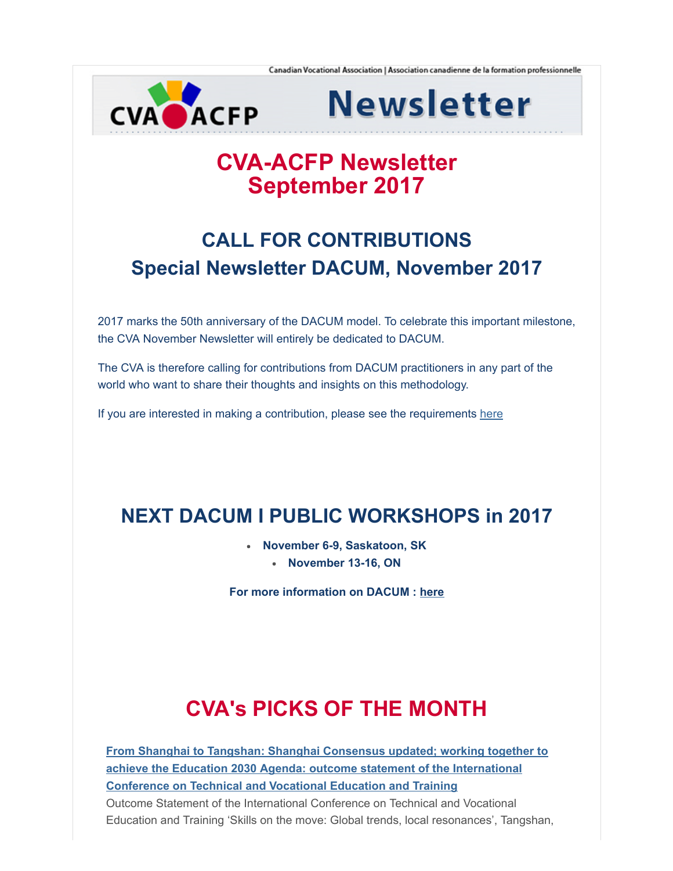

**Newsletter** 

## CVA-ACFP Newsletter September 2017

# CALL FOR CONTRIBUTIONS Special Newsletter DACUM, November 2017

2017 marks the 50th anniversary of the DACUM model. To celebrate this important milestone, the CVA November Newsletter will entirely be dedicated to DACUM.

The CVA is therefore calling for contributions from DACUM practitioners in any part of the world who want to share their thoughts and insights on this methodology.

If you are interested in making a contribution, please see the requirements [here](http://cva-acfp.org/)

## NEXT DACUM I PUBLIC WORKSHOPS in 2017

- November 6-9, Saskatoon, SK
	- November 13-16, ON

For more information on DACUM : [here](http://cva-acfp.org/training-and-workshops/)

# CVA's PICKS OF THE MONTH

[From Shanghai to Tangshan: Shanghai Consensus updated; working together to](http://unesdoc.unesco.org/images/0025/002530/253065e.pdf) achieve the Education 2030 Agenda: outcome statement of the International Conference on Technical and Vocational Education and Training Outcome Statement of the International Conference on Technical and Vocational Education and Training 'Skills on the move: Global trends, local resonances', Tangshan,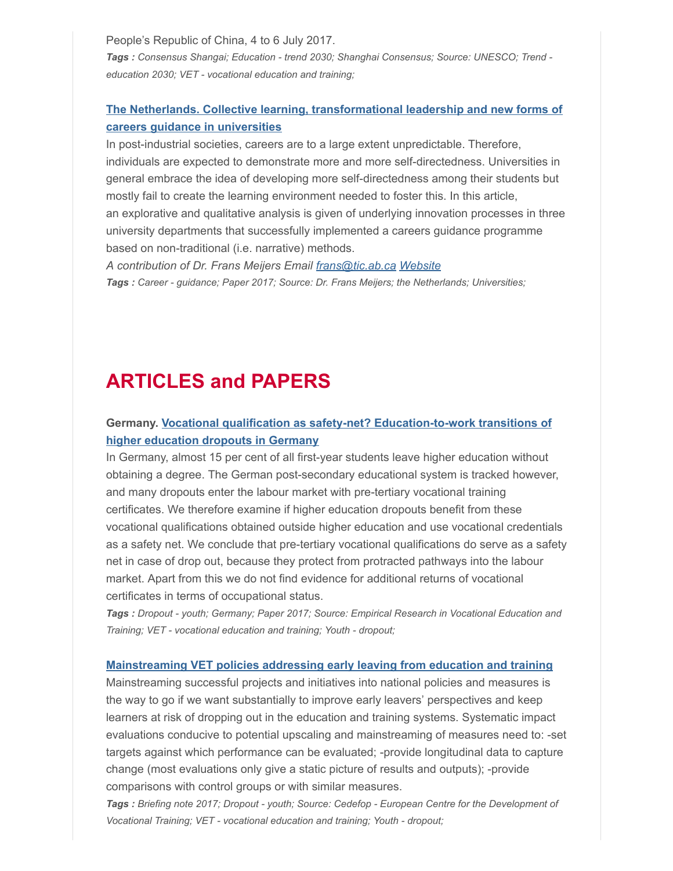People's Republic of China, 4 to 6 July 2017. Tags : Consensus Shangai; Education - trend 2030; Shanghai Consensus; Source: UNESCO; Trend education 2030; VET - vocational education and training;

### [The Netherlands. Collective learning, transformational leadership and new forms of](https://drive.google.com/file/d/0B5NJqo0Ayn92QW5iMWtKZmNQYWVib0JyazVSUjE3OHBBc0dr/view?usp=sharing) careers guidance in universities

In post-industrial societies, careers are to a large extent unpredictable. Therefore, individuals are expected to demonstrate more and more self-directedness. Universities in general embrace the idea of developing more self-directedness among their students but mostly fail to create the learning environment needed to foster this. In this article, an explorative and qualitative analysis is given of underlying innovation processes in three university departments that successfully implemented a careers guidance programme based on non-traditional (i.e. narrative) methods.

A contribution of Dr. Frans Meijers Email [frans@tic.ab.ca](mailto:frans@tic.ab.ca) [Website](http://www.frans-meijers.nl/?taal=7) Tags : Career - guidance; Paper 2017; Source: Dr. Frans Meijers; the Netherlands; Universities;

## ARTICLES and PAPERS

### [Germany. Vocational qualification as safety-net? Education-to-work transitions of](https://ervet-journal.springeropen.com/articles/10.1186/s40461-017-0050-7) higher education dropouts in Germany

In Germany, almost 15 per cent of all first-year students leave higher education without obtaining a degree. The German post-secondary educational system is tracked however, and many dropouts enter the labour market with pre-tertiary vocational training certificates. We therefore examine if higher education dropouts benefit from these vocational qualifications obtained outside higher education and use vocational credentials as a safety net. We conclude that pre-tertiary vocational qualifications do serve as a safety net in case of drop out, because they protect from protracted pathways into the labour market. Apart from this we do not find evidence for additional returns of vocational certificates in terms of occupational status.

Tags : Dropout - youth; Germany; Paper 2017; Source: Empirical Research in Vocational Education and Training; VET - vocational education and training; Youth - dropout;

#### [Mainstreaming VET policies addressing early leaving from education and training](http://www.cedefop.europa.eu/en/publications-and-resources/publications/9110?src=email&freq=weekly)

Mainstreaming successful projects and initiatives into national policies and measures is the way to go if we want substantially to improve early leavers' perspectives and keep learners at risk of dropping out in the education and training systems. Systematic impact evaluations conducive to potential upscaling and mainstreaming of measures need to: -set targets against which performance can be evaluated; -provide longitudinal data to capture change (most evaluations only give a static picture of results and outputs); -provide comparisons with control groups or with similar measures.

Tags : Briefing note 2017; Dropout - youth; Source: Cedefop - European Centre for the Development of Vocational Training; VET - vocational education and training; Youth - dropout;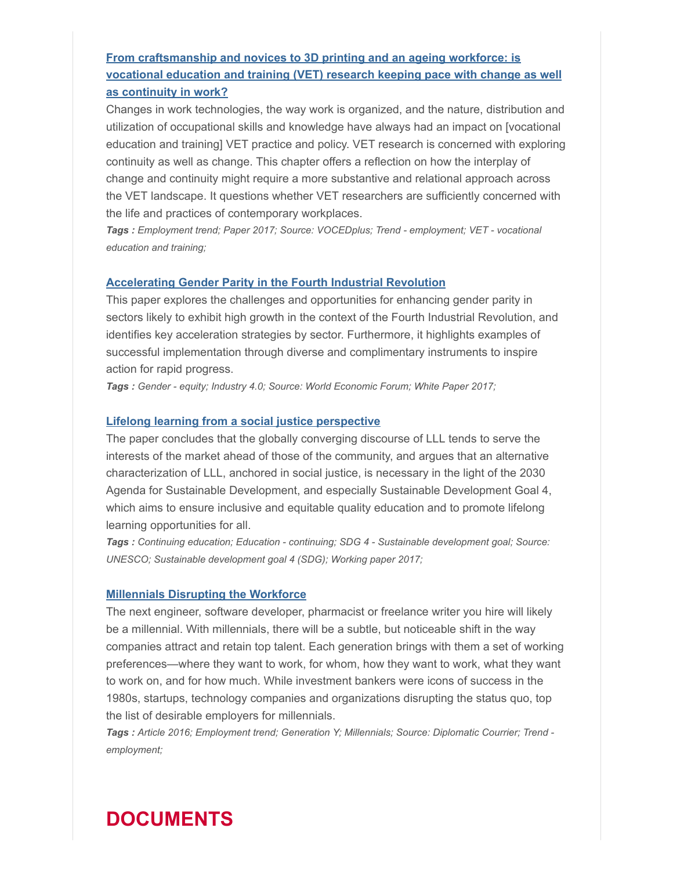### From craftsmanship and novices to 3D printing and an ageing workforce: is [vocational education and training \(VET\) research keeping pace with change as well](http://www.voced.edu.au/content/ngv%3A76081) as continuity in work?

Changes in work technologies, the way work is organized, and the nature, distribution and utilization of occupational skills and knowledge have always had an impact on [vocational education and training] VET practice and policy. VET research is concerned with exploring continuity as well as change. This chapter offers a reflection on how the interplay of change and continuity might require a more substantive and relational approach across the VET landscape. It questions whether VET researchers are sufficiently concerned with the life and practices of contemporary workplaces.

Tags : Employment trend; Paper 2017; Source: VOCEDplus; Trend - employment; VET - vocational education and training;

#### [Accelerating Gender Parity in the Fourth Industrial Revolution](https://www.weforum.org/whitepapers/accelerating-gender-parity-in-the-fourth-industrial-revolution)

This paper explores the challenges and opportunities for enhancing gender parity in sectors likely to exhibit high growth in the context of the Fourth Industrial Revolution, and identifies key acceleration strategies by sector. Furthermore, it highlights examples of successful implementation through diverse and complimentary instruments to inspire action for rapid progress.

Tags : Gender - equity; Industry 4.0; Source: World Economic Forum; White Paper 2017;

#### [Lifelong learning from a social justice perspective](http://unesdoc.unesco.org/images/0025/002500/250027e.pdf)

The paper concludes that the globally converging discourse of LLL tends to serve the interests of the market ahead of those of the community, and argues that an alternative characterization of LLL, anchored in social justice, is necessary in the light of the 2030 Agenda for Sustainable Development, and especially Sustainable Development Goal 4, which aims to ensure inclusive and equitable quality education and to promote lifelong learning opportunities for all.

Tags : Continuing education; Education - continuing; SDG 4 - Sustainable development goal; Source: UNESCO; Sustainable development goal 4 (SDG); Working paper 2017;

#### [Millennials Disrupting the Workforce](http://www.diplomaticourier.com/millennials-disrupting-the-workforce/)

The next engineer, software developer, pharmacist or freelance writer you hire will likely be a millennial. With millennials, there will be a subtle, but noticeable shift in the way companies attract and retain top talent. Each generation brings with them a set of working preferences—where they want to work, for whom, how they want to work, what they want to work on, and for how much. While investment bankers were icons of success in the 1980s, startups, technology companies and organizations disrupting the status quo, top the list of desirable employers for millennials.

Tags : Article 2016; Employment trend; Generation Y; Millennials; Source: Diplomatic Courrier; Trend employment;

## DOCUMENTS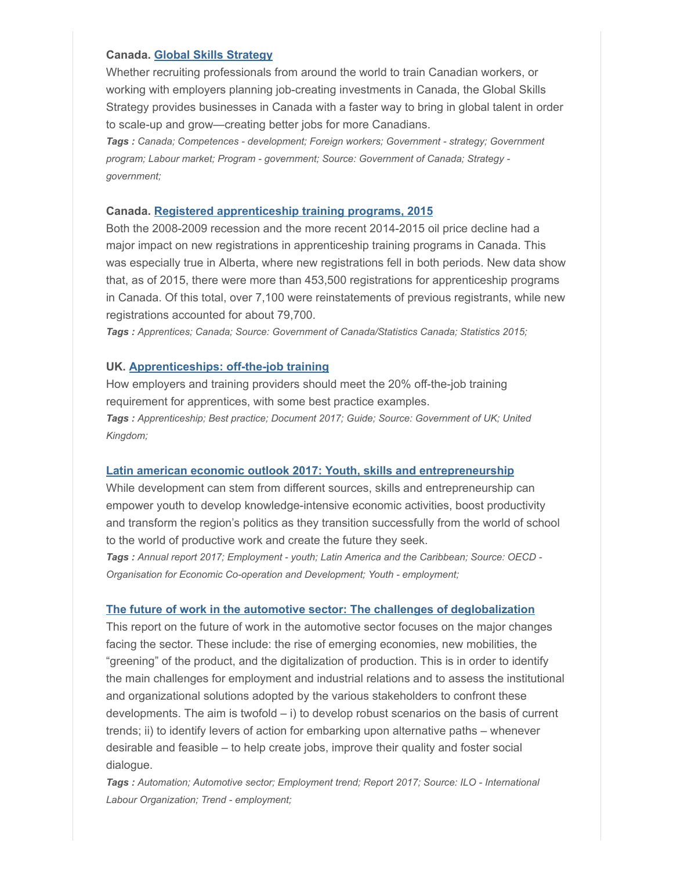#### Canada. [Global Skills Strategy](https://www.canada.ca/en/immigration-refugees-citizenship/news/2017/06/government_of_canadalaunchestheglobalskillsstrategy.html)

Whether recruiting professionals from around the world to train Canadian workers, or working with employers planning job-creating investments in Canada, the Global Skills Strategy provides businesses in Canada with a faster way to bring in global talent in order to scale-up and grow—creating better jobs for more Canadians.

Tags : Canada; Competences - development; Foreign workers; Government - strategy; Government program; Labour market; Program - government; Source: Government of Canada; Strategy government;

#### Canada. [Registered apprenticeship training programs, 2015](http://www.statcan.gc.ca/daily-quotidien/170627/dq170627a-eng.htm?CMP=mstatcan)

Both the 2008-2009 recession and the more recent 2014-2015 oil price decline had a major impact on new registrations in apprenticeship training programs in Canada. This was especially true in Alberta, where new registrations fell in both periods. New data show that, as of 2015, there were more than 453,500 registrations for apprenticeship programs in Canada. Of this total, over 7,100 were reinstatements of previous registrants, while new registrations accounted for about 79,700.

Tags : Apprentices; Canada; Source: Government of Canada/Statistics Canada; Statistics 2015;

#### UK. [Apprenticeships: off-the-job training](https://www.gov.uk/government/publications/apprenticeships-off-the-job-training)

How employers and training providers should meet the 20% off-the-job training requirement for apprentices, with some best practice examples. Tags : Apprenticeship; Best practice; Document 2017; Guide; Source: Government of UK; United Kingdom;

#### [Latin american economic outlook 2017: Youth, skills and entrepreneurship](http://www.oecd.org/fr/publications/latin-american-economic-outlook-20725140.htm)

While development can stem from different sources, skills and entrepreneurship can empower youth to develop knowledge-intensive economic activities, boost productivity and transform the region's politics as they transition successfully from the world of school to the world of productive work and create the future they seek.

Tags : Annual report 2017; Employment - youth; Latin America and the Caribbean; Source: OECD -Organisation for Economic Co-operation and Development; Youth - employment;

#### [The future of work in the automotive sector: The challenges of deglobalization](http://www.ilo.org/global/research/events-courses/WCMS_551606/lang--en/index.htm)

This report on the future of work in the automotive sector focuses on the major changes facing the sector. These include: the rise of emerging economies, new mobilities, the "greening" of the product, and the digitalization of production. This is in order to identify the main challenges for employment and industrial relations and to assess the institutional and organizational solutions adopted by the various stakeholders to confront these developments. The aim is twofold – i) to develop robust scenarios on the basis of current trends; ii) to identify levers of action for embarking upon alternative paths – whenever desirable and feasible – to help create jobs, improve their quality and foster social dialogue.

Tags : Automation; Automotive sector; Employment trend; Report 2017; Source: ILO - International Labour Organization; Trend - employment;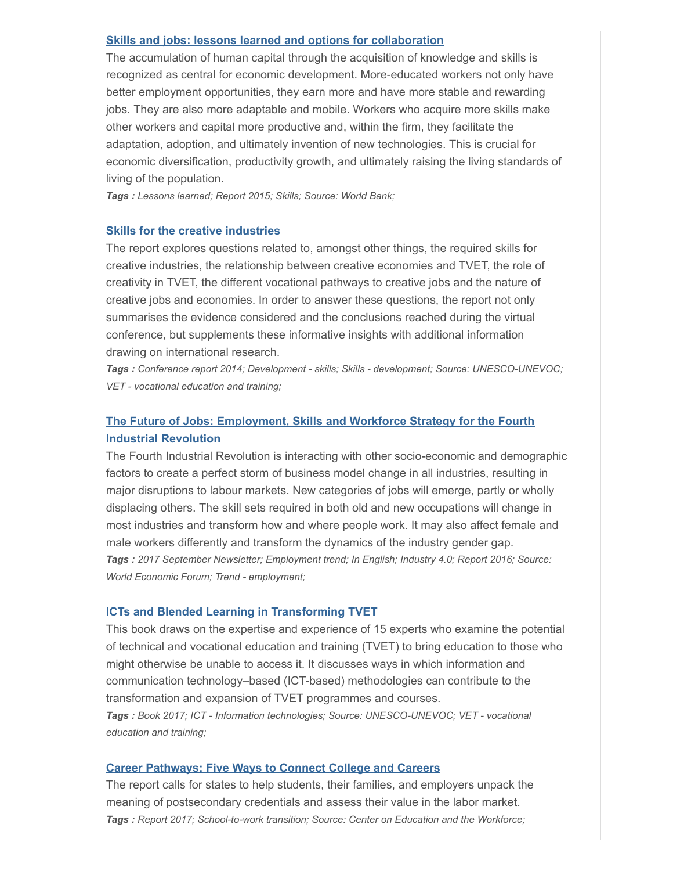#### [Skills and jobs: lessons learned and options for collaboration](http://documents.worldbank.org/curated/en/926401467993178388/Skills-and-jobs-lessons-learned-and-options-for-collaboration)

The accumulation of human capital through the acquisition of knowledge and skills is recognized as central for economic development. More-educated workers not only have better employment opportunities, they earn more and have more stable and rewarding jobs. They are also more adaptable and mobile. Workers who acquire more skills make other workers and capital more productive and, within the firm, they facilitate the adaptation, adoption, and ultimately invention of new technologies. This is crucial for economic diversification, productivity growth, and ultimately raising the living standards of living of the population.

Tags : Lessons learned; Report 2015; Skills; Source: World Bank;

#### [Skills for the creative industries](http://www.unevoc.unesco.org/go.php?q=Just+Published+Virtual+Conference+report+on+Skills+for+creative+industries)

The report explores questions related to, amongst other things, the required skills for creative industries, the relationship between creative economies and TVET, the role of creativity in TVET, the different vocational pathways to creative jobs and the nature of creative jobs and economies. In order to answer these questions, the report not only summarises the evidence considered and the conclusions reached during the virtual conference, but supplements these informative insights with additional information drawing on international research.

Tags : Conference report 2014; Development - skills; Skills - development; Source: UNESCO-UNEVOC; VET - vocational education and training;

### [The Future of Jobs: Employment, Skills and Workforce Strategy for the Fourth](http://reports.weforum.org/future-of-jobs-2016/) Industrial Revolution

The Fourth Industrial Revolution is interacting with other socio-economic and demographic factors to create a perfect storm of business model change in all industries, resulting in major disruptions to labour markets. New categories of jobs will emerge, partly or wholly displacing others. The skill sets required in both old and new occupations will change in most industries and transform how and where people work. It may also affect female and male workers differently and transform the dynamics of the industry gender gap. Tags: 2017 September Newsletter; Employment trend; In English; Industry 4.0; Report 2016; Source: World Economic Forum; Trend - employment;

#### [ICTs and Blended Learning in Transforming TVET](http://www.unevoc.unesco.org/go.php?q=UNEVOC+Publications&lang=en&akt=id&st=&qs=6029&unevoc=1)

This book draws on the expertise and experience of 15 experts who examine the potential of technical and vocational education and training (TVET) to bring education to those who might otherwise be unable to access it. It discusses ways in which information and communication technology–based (ICT-based) methodologies can contribute to the transformation and expansion of TVET programmes and courses. Tags : Book 2017; ICT - Information technologies; Source: UNESCO-UNEVOC; VET - vocational education and training;

#### [Career Pathways: Five Ways to Connect College and Careers](https://cew.georgetown.edu/cew-reports/careerpathways/#full-report)

The report calls for states to help students, their families, and employers unpack the meaning of postsecondary credentials and assess their value in the labor market. Tags : Report 2017; School-to-work transition; Source: Center on Education and the Workforce;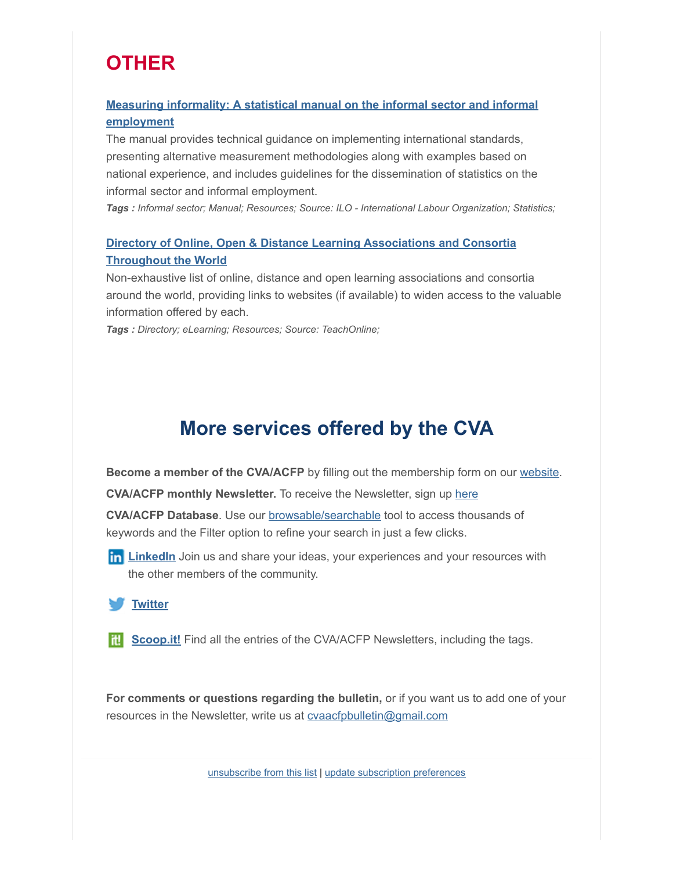## **OTHER**

### [Measuring informality: A statistical manual on the informal sector and informal](http://www.ilo.org/global/publications/ilo-bookstore/order-online/books/WCMS_222979/lang--en/index.htm) employment

The manual provides technical guidance on implementing international standards, presenting alternative measurement methodologies along with examples based on national experience, and includes guidelines for the dissemination of statistics on the informal sector and informal employment.

Tags : Informal sector; Manual; Resources; Source: ILO - International Labour Organization; Statistics;

### [Directory of Online, Open & Distance Learning Associations and Consortia](https://teachonline.ca/tools-trends/directory-online-open-distance-learning-associations-consortia) Throughout the World

Non-exhaustive list of online, distance and open learning associations and consortia around the world, providing links to websites (if available) to widen access to the valuable information offered by each.

Tags: Directory; eLearning; Resources; Source: TeachOnline;

## More services offered by the CVA

Become a member of the CVA/ACFP by filling out the membership form on our [website.](http://cva-acfp.org/membership/becoming-a-member/)

CVA/ACFP monthly Newsletter. To receive the Newsletter, sign up [here](http://cva-acfp.org/)

CVA/ACFP Database. Use our [browsable/searchable](http://cva-acfp.org/) tool to access thousands of keywords and the Filter option to refine your search in just a few clicks.

**In [LinkedIn](http://tinyurl.com/6vpmye5)** Join us and share your ideas, your experiences and your resources with the other members of the community.

**[Twitter](https://twitter.com/CVA_ACFP)** 

**TH** [Scoop.it!](http://www.scoop.it/u/canadian-vocational-association-association-canadienne-de-la-formation-professionnelle) Find all the entries of the CVA/ACFP Newsletters, including the tags.

For comments or questions regarding the bulletin, or if you want us to add one of your resources in the Newsletter, write us at [cvaacfpbulletin@gmail.com](mailto:cvaacfpbulletin@gmail.com)

[unsubscribe from this list](https://cva-acfp.us3.list-manage.com/unsubscribe?u=fadec83458868627e84ef4927&id=6e172f30af&e=[UNIQID]&c=888c45b446) | [update subscription preferences](https://cva-acfp.us3.list-manage.com/profile?u=fadec83458868627e84ef4927&id=6e172f30af&e=[UNIQID])